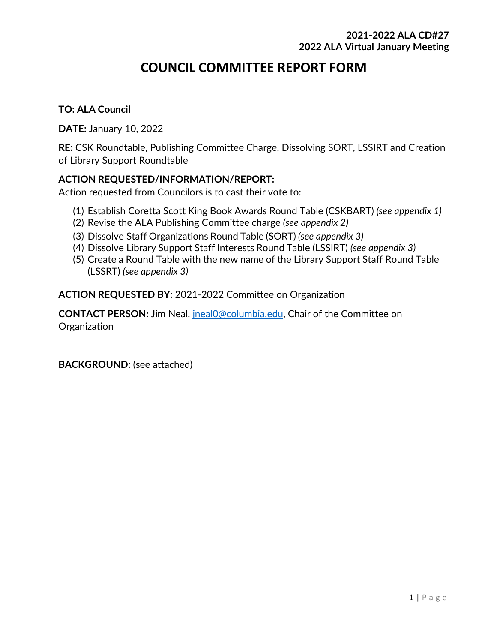# **COUNCIL COMMITTEE REPORT FORM**

#### **TO: ALA Council**

**DATE:** January 10, 2022

**RE:** CSK Roundtable, Publishing Committee Charge, Dissolving SORT, LSSIRT and Creation of Library Support Roundtable

#### **ACTION REQUESTED/INFORMATION/REPORT:**

Action requested from Councilors is to cast their vote to:

- (1) Establish Coretta Scott King Book Awards Round Table (CSKBART) *(see appendix 1)*
- (2) Revise the ALA Publishing Committee charge *(see appendix 2)*
- (3) Dissolve Staff Organizations Round Table (SORT) *(see appendix 3)*
- (4) Dissolve Library Support Staff Interests Round Table (LSSIRT) *(see appendix 3)*
- (5) Create a Round Table with the new name of the Library Support Staff Round Table (LSSRT) *(see appendix 3)*

**ACTION REQUESTED BY:** 2021-2022 Committee on Organization

**CONTACT PERSON:** Jim Neal, [jneal0@columbia.edu,](mailto:jneal0@columbia.edu) Chair of the Committee on **Organization** 

**BACKGROUND:** (see attached)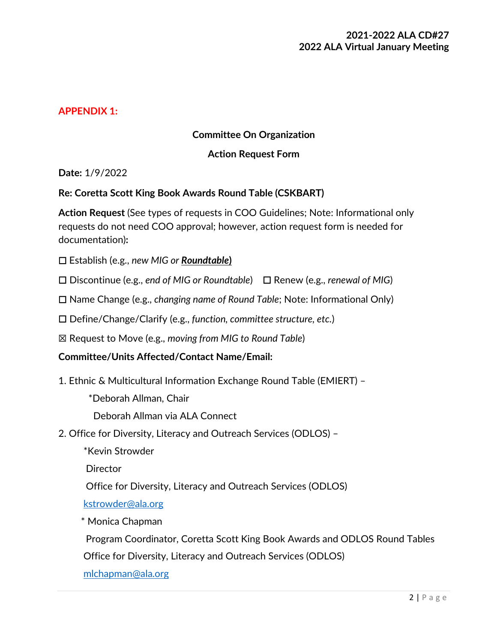### **APPENDIX 1:**

#### **Committee On Organization**

#### **Action Request Form**

**Date:** 1/9/2022

#### **Re: Coretta Scott King Book Awards Round Table (CSKBART)**

**Action Request** (See types of requests in COO Guidelines; Note: Informational only requests do not need COO approval; however, action request form is needed for documentation)**:**

- ☐ Establish (e.g., *new MIG or Roundtable***)**
- ☐ Discontinue (e.g., *end of MIG or Roundtable*) ☐ Renew (e.g., *renewal of MIG*)
- ☐ Name Change (e.g., *changing name of Round Table*; Note: Informational Only)
- ☐ Define/Change/Clarify (e.g., *function, committee structure, etc.*)
- ☒ Request to Move (e.g., *moving from MIG to Round Table*)

#### **Committee/Units Affected/Contact Name/Email:**

- 1. Ethnic & Multicultural Information Exchange Round Table (EMIERT)
	- \*Deborah Allman, Chair

Deborah Allman via ALA Connect

- 2. Office for Diversity, Literacy and Outreach Services (ODLOS)
	- \*Kevin Strowder

**Director** 

Office for Diversity, Literacy and Outreach Services (ODLOS)

[kstrowder@ala.org](mailto:kstrowder@ala.org)

\* Monica Chapman

Program Coordinator, Coretta Scott King Book Awards and ODLOS Round Tables

Office for Diversity, Literacy and Outreach Services (ODLOS)

[mlchapman@ala.org](mailto:mlchapman@ala.org)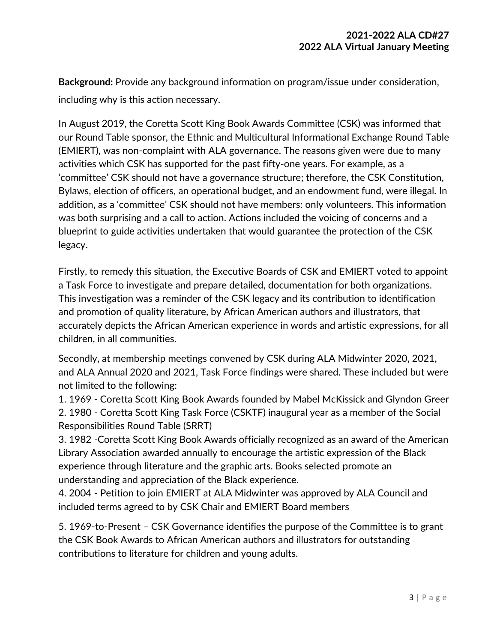**Background:** Provide any background information on program/issue under consideration, including why is this action necessary.

In August 2019, the Coretta Scott King Book Awards Committee (CSK) was informed that our Round Table sponsor, the Ethnic and Multicultural Informational Exchange Round Table (EMIERT), was non-complaint with ALA governance. The reasons given were due to many activities which CSK has supported for the past fifty-one years. For example, as a 'committee' CSK should not have a governance structure; therefore, the CSK Constitution, Bylaws, election of officers, an operational budget, and an endowment fund, were illegal. In addition, as a 'committee' CSK should not have members: only volunteers. This information was both surprising and a call to action. Actions included the voicing of concerns and a blueprint to guide activities undertaken that would guarantee the protection of the CSK legacy.

Firstly, to remedy this situation, the Executive Boards of CSK and EMIERT voted to appoint a Task Force to investigate and prepare detailed, documentation for both organizations. This investigation was a reminder of the CSK legacy and its contribution to identification and promotion of quality literature, by African American authors and illustrators, that accurately depicts the African American experience in words and artistic expressions, for all children, in all communities.

Secondly, at membership meetings convened by CSK during ALA Midwinter 2020, 2021, and ALA Annual 2020 and 2021, Task Force findings were shared. These included but were not limited to the following:

1. 1969 - Coretta Scott King Book Awards founded by Mabel McKissick and Glyndon Greer 2. 1980 - Coretta Scott King Task Force (CSKTF) inaugural year as a member of the Social Responsibilities Round Table (SRRT)

3. 1982 -Coretta Scott King Book Awards officially recognized as an award of the American Library Association awarded annually to encourage the artistic expression of the Black experience through literature and the graphic arts. Books selected promote an understanding and appreciation of the Black experience.

4. 2004 - Petition to join EMIERT at ALA Midwinter was approved by ALA Council and included terms agreed to by CSK Chair and EMIERT Board members

5. 1969-to-Present – CSK Governance identifies the purpose of the Committee is to grant the CSK Book Awards to African American authors and illustrators for outstanding contributions to literature for children and young adults.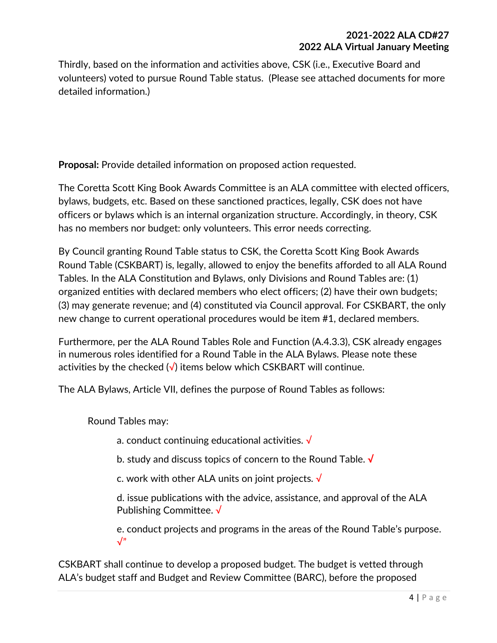Thirdly, based on the information and activities above, CSK (i.e., Executive Board and volunteers) voted to pursue Round Table status. (Please see attached documents for more detailed information.)

**Proposal:** Provide detailed information on proposed action requested.

The Coretta Scott King Book Awards Committee is an ALA committee with elected officers, bylaws, budgets, etc. Based on these sanctioned practices, legally, CSK does not have officers or bylaws which is an internal organization structure. Accordingly, in theory, CSK has no members nor budget: only volunteers. This error needs correcting.

By Council granting Round Table status to CSK, the Coretta Scott King Book Awards Round Table (CSKBART) is, legally, allowed to enjoy the benefits afforded to all ALA Round Tables. In the ALA Constitution and Bylaws, only Divisions and Round Tables are: (1) organized entities with declared members who elect officers; (2) have their own budgets; (3) may generate revenue; and (4) constituted via Council approval. For CSKBART, the only new change to current operational procedures would be item #1, declared members.

Furthermore, per the ALA Round Tables Role and Function (A.4.3.3), CSK already engages in numerous roles identified for a Round Table in the ALA Bylaws. Please note these activities by the checked  $\sqrt{}$  items below which CSKBART will continue.

The ALA Bylaws, Article VII, defines the purpose of Round Tables as follows:

Round Tables may:

a. conduct continuing educational activities. √

b. study and discuss topics of concern to the Round Table. **√**

c. work with other ALA units on joint projects. √

d. issue publications with the advice, assistance, and approval of the ALA Publishing Committee. √

e. conduct projects and programs in the areas of the Round Table's purpose.  $\sqrt{ }$ "

CSKBART shall continue to develop a proposed budget. The budget is vetted through ALA's budget staff and Budget and Review Committee (BARC), before the proposed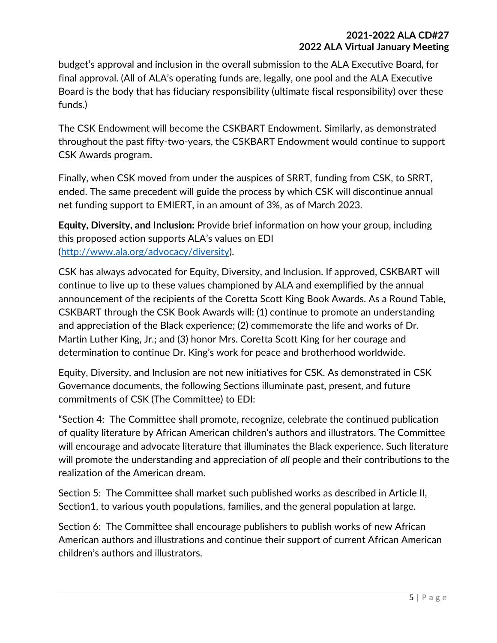budget's approval and inclusion in the overall submission to the ALA Executive Board, for final approval. (All of ALA's operating funds are, legally, one pool and the ALA Executive Board is the body that has fiduciary responsibility (ultimate fiscal responsibility) over these funds.)

The CSK Endowment will become the CSKBART Endowment. Similarly, as demonstrated throughout the past fifty-two-years, the CSKBART Endowment would continue to support CSK Awards program.

Finally, when CSK moved from under the auspices of SRRT, funding from CSK, to SRRT, ended. The same precedent will guide the process by which CSK will discontinue annual net funding support to EMIERT, in an amount of 3%, as of March 2023.

**Equity, Diversity, and Inclusion:** Provide brief information on how your group, including this proposed action supports ALA's values on EDI [\(http://www.ala.org/advocacy/diversity\)](http://www.ala.org/advocacy/diversity).

CSK has always advocated for Equity, Diversity, and Inclusion. If approved, CSKBART will continue to live up to these values championed by ALA and exemplified by the annual announcement of the recipients of the Coretta Scott King Book Awards. As a Round Table, CSKBART through the CSK Book Awards will: (1) continue to promote an understanding and appreciation of the Black experience; (2) commemorate the life and works of Dr. Martin Luther King, Jr.; and (3) honor Mrs. Coretta Scott King for her courage and determination to continue Dr. King's work for peace and brotherhood worldwide.

Equity, Diversity, and Inclusion are not new initiatives for CSK. As demonstrated in CSK Governance documents, the following Sections illuminate past, present, and future commitments of CSK (The Committee) to EDI:

"Section 4: The Committee shall promote, recognize, celebrate the continued publication of quality literature by African American children's authors and illustrators. The Committee will encourage and advocate literature that illuminates the Black experience. Such literature will promote the understanding and appreciation of *all* people and their contributions to the realization of the American dream.

Section 5: The Committee shall market such published works as described in Article II, Section1, to various youth populations, families, and the general population at large.

Section 6: The Committee shall encourage publishers to publish works of new African American authors and illustrations and continue their support of current African American children's authors and illustrators.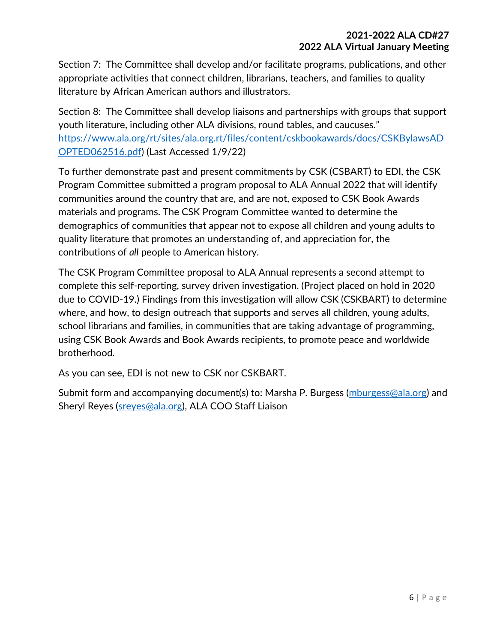Section 7: The Committee shall develop and/or facilitate programs, publications, and other appropriate activities that connect children, librarians, teachers, and families to quality literature by African American authors and illustrators.

Section 8: The Committee shall develop liaisons and partnerships with groups that support youth literature, including other ALA divisions, round tables, and caucuses." [https://www.ala.org/rt/sites/ala.org.rt/files/content/cskbookawards/docs/CSKBylawsAD](https://www.ala.org/rt/sites/ala.org.rt/files/content/cskbookawards/docs/CSKBylawsADOPTED062516.pdf) [OPTED062516.pdf\)](https://www.ala.org/rt/sites/ala.org.rt/files/content/cskbookawards/docs/CSKBylawsADOPTED062516.pdf) (Last Accessed 1/9/22)

To further demonstrate past and present commitments by CSK (CSBART) to EDI, the CSK Program Committee submitted a program proposal to ALA Annual 2022 that will identify communities around the country that are, and are not, exposed to CSK Book Awards materials and programs. The CSK Program Committee wanted to determine the demographics of communities that appear not to expose all children and young adults to quality literature that promotes an understanding of, and appreciation for, the contributions of *all* people to American history.

The CSK Program Committee proposal to ALA Annual represents a second attempt to complete this self-reporting, survey driven investigation. (Project placed on hold in 2020 due to COVID-19.) Findings from this investigation will allow CSK (CSKBART) to determine where, and how, to design outreach that supports and serves all children, young adults, school librarians and families, in communities that are taking advantage of programming, using CSK Book Awards and Book Awards recipients, to promote peace and worldwide brotherhood.

As you can see, EDI is not new to CSK nor CSKBART.

Submit form and accompanying document(s) to: Marsha P. Burgess [\(mburgess@ala.org\)](mailto:mburgess@ala.org) and Sheryl Reyes [\(sreyes@ala.org\)](mailto:sreyes@ala.org), ALA COO Staff Liaison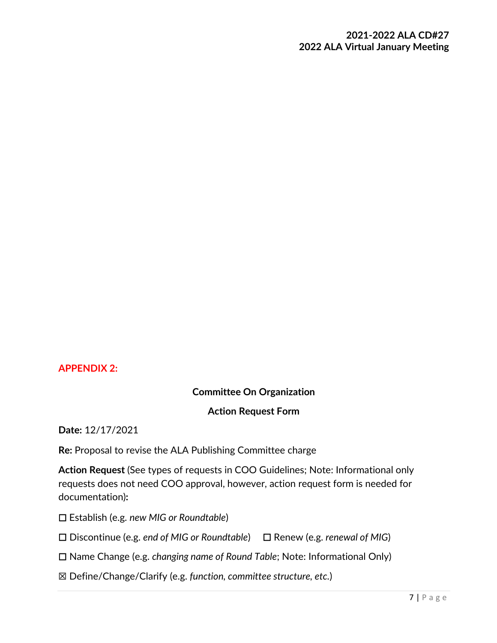### **APPENDIX 2:**

### **Committee On Organization**

#### **Action Request Form**

**Date:** 12/17/2021

**Re:** Proposal to revise the ALA Publishing Committee charge

**Action Request** (See types of requests in COO Guidelines; Note: Informational only requests does not need COO approval, however, action request form is needed for documentation)**:**

☐ Establish (e.g. *new MIG or Roundtable*)

☐ Discontinue (e.g. *end of MIG or Roundtable*) ☐ Renew (e.g. *renewal of MIG*)

☐ Name Change (e.g. *changing name of Round Table*; Note: Informational Only)

☒ Define/Change/Clarify (e.g. *function, committee structure, etc.*)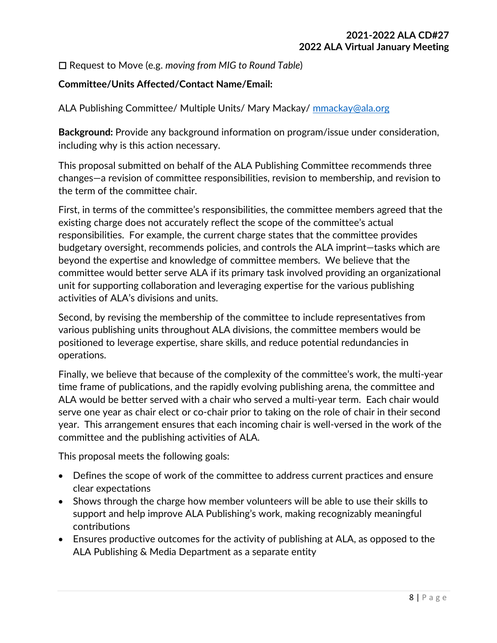☐ Request to Move (e.g. *moving from MIG to Round Table*)

### **Committee/Units Affected/Contact Name/Email:**

ALA Publishing Committee/ Multiple Units/ Mary Mackay/ [mmackay@ala.org](mailto:mmackay@ala.org)

**Background:** Provide any background information on program/issue under consideration, including why is this action necessary.

This proposal submitted on behalf of the ALA Publishing Committee recommends three changes—a revision of committee responsibilities, revision to membership, and revision to the term of the committee chair.

First, in terms of the committee's responsibilities, the committee members agreed that the existing charge does not accurately reflect the scope of the committee's actual responsibilities. For example, the current charge states that the committee provides budgetary oversight, recommends policies, and controls the ALA imprint—tasks which are beyond the expertise and knowledge of committee members. We believe that the committee would better serve ALA if its primary task involved providing an organizational unit for supporting collaboration and leveraging expertise for the various publishing activities of ALA's divisions and units.

Second, by revising the membership of the committee to include representatives from various publishing units throughout ALA divisions, the committee members would be positioned to leverage expertise, share skills, and reduce potential redundancies in operations.

Finally, we believe that because of the complexity of the committee's work, the multi-year time frame of publications, and the rapidly evolving publishing arena, the committee and ALA would be better served with a chair who served a multi-year term. Each chair would serve one year as chair elect or co-chair prior to taking on the role of chair in their second year. This arrangement ensures that each incoming chair is well-versed in the work of the committee and the publishing activities of ALA.

This proposal meets the following goals:

- Defines the scope of work of the committee to address current practices and ensure clear expectations
- Shows through the charge how member volunteers will be able to use their skills to support and help improve ALA Publishing's work, making recognizably meaningful contributions
- Ensures productive outcomes for the activity of publishing at ALA, as opposed to the ALA Publishing & Media Department as a separate entity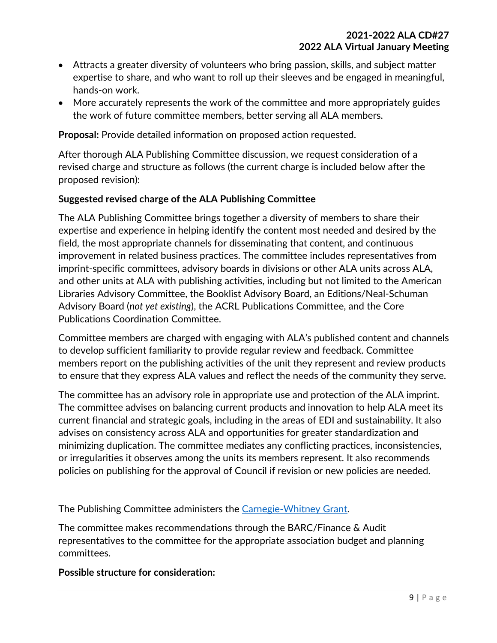- Attracts a greater diversity of volunteers who bring passion, skills, and subject matter expertise to share, and who want to roll up their sleeves and be engaged in meaningful, hands-on work.
- More accurately represents the work of the committee and more appropriately guides the work of future committee members, better serving all ALA members.

**Proposal:** Provide detailed information on proposed action requested.

After thorough ALA Publishing Committee discussion, we request consideration of a revised charge and structure as follows (the current charge is included below after the proposed revision):

#### **Suggested revised charge of the ALA Publishing Committee**

The ALA Publishing Committee brings together a diversity of members to share their expertise and experience in helping identify the content most needed and desired by the field, the most appropriate channels for disseminating that content, and continuous improvement in related business practices. The committee includes representatives from imprint-specific committees, advisory boards in divisions or other ALA units across ALA, and other units at ALA with publishing activities, including but not limited to the American Libraries Advisory Committee, the Booklist Advisory Board, an Editions/Neal-Schuman Advisory Board (*not yet existing*), the ACRL Publications Committee, and the Core Publications Coordination Committee.

Committee members are charged with engaging with ALA's published content and channels to develop sufficient familiarity to provide regular review and feedback. Committee members report on the publishing activities of the unit they represent and review products to ensure that they express ALA values and reflect the needs of the community they serve.

The committee has an advisory role in appropriate use and protection of the ALA imprint. The committee advises on balancing current products and innovation to help ALA meet its current financial and strategic goals, including in the areas of EDI and sustainability. It also advises on consistency across ALA and opportunities for greater standardization and minimizing duplication. The committee mediates any conflicting practices, inconsistencies, or irregularities it observes among the units its members represent. It also recommends policies on publishing for the approval of Council if revision or new policies are needed.

The Publishing Committee administers the [Carnegie-Whitney Grant.](http://www.ala.org/awardsgrants/carnegie-whitney-grant)

The committee makes recommendations through the BARC/Finance & Audit representatives to the committee for the appropriate association budget and planning committees.

#### **Possible structure for consideration:**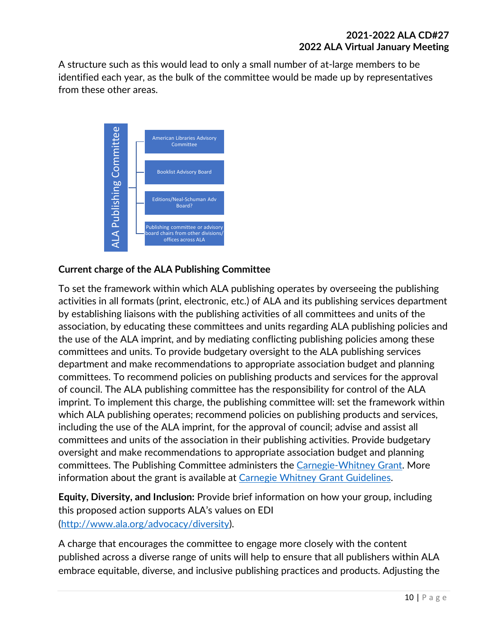A structure such as this would lead to only a small number of at-large members to be identified each year, as the bulk of the committee would be made up by representatives from these other areas.



# **Current charge of the ALA Publishing Committee**

To set the framework within which ALA publishing operates by overseeing the publishing activities in all formats (print, electronic, etc.) of ALA and its publishing services department by establishing liaisons with the publishing activities of all committees and units of the association, by educating these committees and units regarding ALA publishing policies and the use of the ALA imprint, and by mediating conflicting publishing policies among these committees and units. To provide budgetary oversight to the ALA publishing services department and make recommendations to appropriate association budget and planning committees. To recommend policies on publishing products and services for the approval of council. The ALA publishing committee has the responsibility for control of the ALA imprint. To implement this charge, the publishing committee will: set the framework within which ALA publishing operates; recommend policies on publishing products and services, including the use of the ALA imprint, for the approval of council; advise and assist all committees and units of the association in their publishing activities. Provide budgetary oversight and make recommendations to appropriate association budget and planning committees. The Publishing Committee administers the [Carnegie-Whitney Grant.](http://www.ala.org/awardsgrants/carnegie-whitney-grant) More information about the grant is available at [Carnegie Whitney Grant Guidelines.](http://www.ala.org/offices/publishing/sundry/alapubawrds/carnegiewhitney) embrace the ALA Publishing Committee<br>
Commissions and the ALA Publishing Committee<br>
Conserved the ALA Publishing Committee<br>
To set the framework with the publishing coperates by overseeing the publishing<br>
activities in all

**Equity, Diversity, and Inclusion:** Provide brief information on how your group, including this proposed action supports ALA's values on EDI [\(http://www.ala.org/advocacy/diversity\)](http://www.ala.org/advocacy/diversity).

A charge that encourages the committee to engage more closely with the content published across a diverse range of units will help to ensure that all publishers within ALA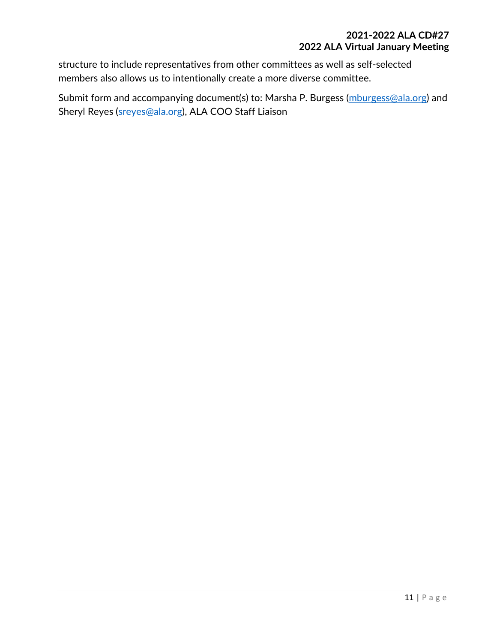structure to include representatives from other committees as well as self-selected members also allows us to intentionally create a more diverse committee.

Submit form and accompanying document(s) to: Marsha P. Burgess [\(mburgess@ala.org\)](mailto:mburgess@ala.org) and Sheryl Reyes [\(sreyes@ala.org\)](mailto:sreyes@ala.org), ALA COO Staff Liaison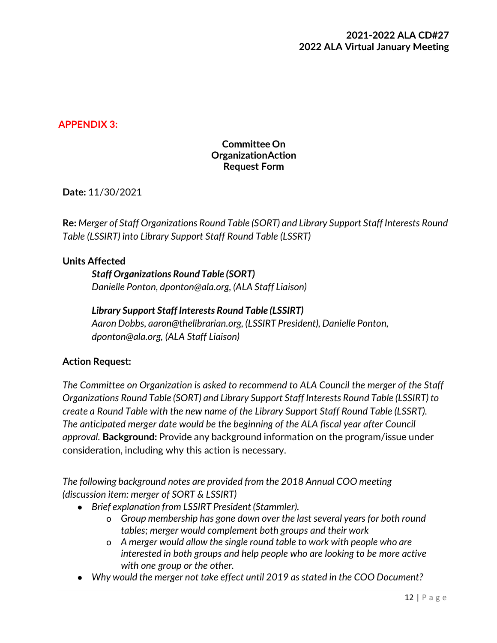### **APPENDIX 3:**

### **Committee On OrganizationAction Request Form**

**Date:** 11/30/2021

**Re:** *Merger of Staff Organizations Round Table (SORT) and Library Support Staff Interests Round Table (LSSIRT) into Library Support Staff Round Table (LSSRT)*

#### **Units Affected**

*Staff Organizations Round Table (SORT) Danielle Ponton, [dponton@ala.org,](mailto:dponton@ala.org) (ALA Staff Liaison)*

### *Library Support Staff Interests Round Table (LSSIRT)*

*Aaron Dobbs, [aaron@thelibrarian.org,](mailto:aaron@thelibrarian.org) (LSSIRT President), Danielle Ponton, [dponton@ala.org,](mailto:dponton@ala.org) (ALA Staff Liaison)*

#### **Action Request:**

*The Committee on Organization is asked to recommend to ALA Council the merger of the Staff Organizations Round Table (SORT) and Library Support Staff Interests Round Table (LSSIRT) to create a Round Table with the new name of the Library Support Staff Round Table (LSSRT). The anticipated merger date would be the beginning of the ALA fiscal year after Council approval.* **Background:** Provide any background information on the program/issue under consideration, including why this action is necessary.

*The following background notes are provided from the 2018 Annual COO meeting (discussion item: merger of SORT & LSSIRT)*

- *● Brief explanation from LSSIRT President (Stammler).*
	- o *Group membership has gone down over the last several years for both round tables; merger would complement both groups and their work*
	- o *A merger would allow the single round table to work with people who are interested in both groups and help people who are looking to be more active with one group or the other.*
- *● Why would the merger not take effect until 2019 as stated in the COO Document?*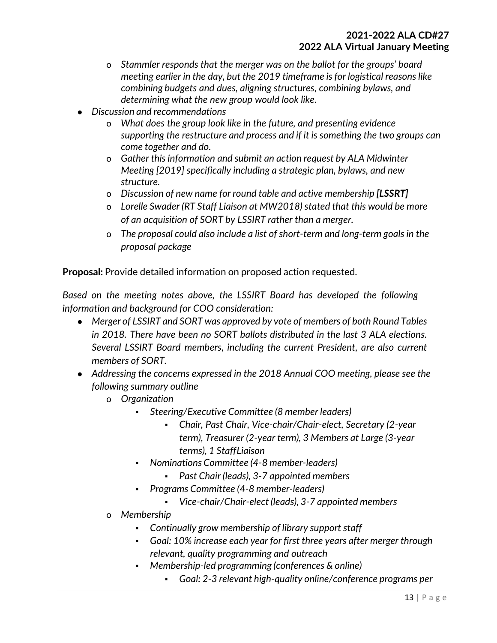- o *Stammler responds that the merger was on the ballot for the groups' board meeting earlier in the day, but the 2019 timeframe is for logistical reasons like combining budgets and dues, aligning structures, combining bylaws, and determining what the new group would look like.*
- *● Discussion and recommendations*
	- o *What does the group look like in the future, and presenting evidence supporting the restructure and process and if it is something the two groups can come together and do.*
	- o *Gather this information and submit an action request by ALA Midwinter Meeting [2019] specifically including a strategic plan, bylaws, and new structure.*
	- o *Discussion of new name for round table and active membership [LSSRT]*
	- o *Lorelle Swader (RT Staff Liaison at MW2018) stated that this would be more of an acquisition of SORT by LSSIRT rather than a merger.*
	- o *The proposal could also include a list of short-term and long-term goals in the proposal package*

**Proposal:** Provide detailed information on proposed action requested.

*Based on the meeting notes above, the LSSIRT Board has developed the following information and background for COO consideration:*

- *● Merger of LSSIRT and SORT was approved by vote of members of both Round Tables in 2018. There have been no SORT ballots distributed in the last 3 ALA elections. Several LSSIRT Board members, including the current President, are also current members of SORT.*
- *● Addressing the concerns expressed in the 2018 Annual COO meeting, please see the following summary outline*
	- o *Organization*
		- *▪ Steering/Executive Committee (8 member leaders)*
			- *▪ Chair, Past Chair, Vice-chair/Chair-elect, Secretary (2-year term), Treasurer (2-year term), 3 Members at Large (3-year terms), 1 StaffLiaison*
		- *▪ Nominations Committee (4-8 member-leaders)*
			- *▪ Past Chair (leads), 3-7 appointed members*
		- *▪ Programs Committee (4-8 member-leaders)*
			- *▪ Vice-chair/Chair-elect (leads), 3-7 appointed members*
	- o *Membership*
		- *▪ Continually grow membership of library support staff*
		- *▪ Goal: 10% increase each year for first three years after merger through relevant, quality programming and outreach*
		- *▪ Membership-led programming (conferences & online)*
			- *▪ Goal: 2-3 relevant high-quality online/conference programs per*